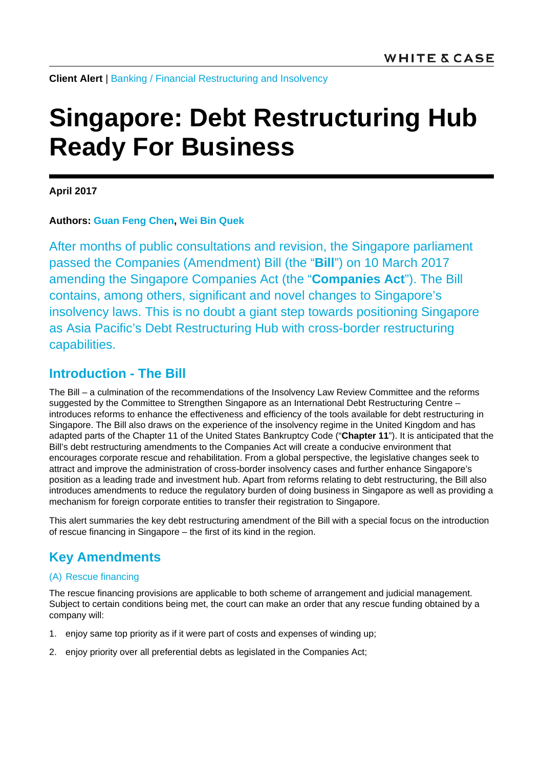**Client Alert** | [Banking](https://www.whitecase.com/law/practices/banking) / Financial [Restructuring and Insolvency](https://www.whitecase.com/law/practices/financial-restructuring-and-insolvency)

# **Singapore: Debt Restructuring Hub Ready For Business**

**April 2017**

## **Authors: [Guan Feng](https://www.whitecase.com/people/guan-feng-chen) Chen, [Wei Bin Quek](https://www.whitecase.com/people/weibin-quek)**

After months of public consultations and revision, the Singapore parliament passed the Companies (Amendment) Bill (the "**Bill**") on 10 March 2017 amending the Singapore Companies Act (the "**Companies Act**"). The Bill contains, among others, significant and novel changes to Singapore's insolvency laws. This is no doubt a giant step towards positioning Singapore as Asia Pacific's Debt Restructuring Hub with cross-border restructuring capabilities.

## **Introduction - The Bill**

The Bill – a culmination of the recommendations of the Insolvency Law Review Committee and the reforms suggested by the Committee to Strengthen Singapore as an International Debt Restructuring Centre introduces reforms to enhance the effectiveness and efficiency of the tools available for debt restructuring in Singapore. The Bill also draws on the experience of the insolvency regime in the United Kingdom and has adapted parts of the Chapter 11 of the United States Bankruptcy Code ("**Chapter 11**"). It is anticipated that the Bill's debt restructuring amendments to the Companies Act will create a conducive environment that encourages corporate rescue and rehabilitation. From a global perspective, the legislative changes seek to attract and improve the administration of cross-border insolvency cases and further enhance Singapore's position as a leading trade and investment hub. Apart from reforms relating to debt restructuring, the Bill also introduces amendments to reduce the regulatory burden of doing business in Singapore as well as providing a mechanism for foreign corporate entities to transfer their registration to Singapore.

This alert summaries the key debt restructuring amendment of the Bill with a special focus on the introduction of rescue financing in Singapore – the first of its kind in the region.

# **Key Amendments**

## (A) Rescue financing

The rescue financing provisions are applicable to both scheme of arrangement and judicial management. Subject to certain conditions being met, the court can make an order that any rescue funding obtained by a company will:

- 1. enjoy same top priority as if it were part of costs and expenses of winding up;
- 2. enjoy priority over all preferential debts as legislated in the Companies Act;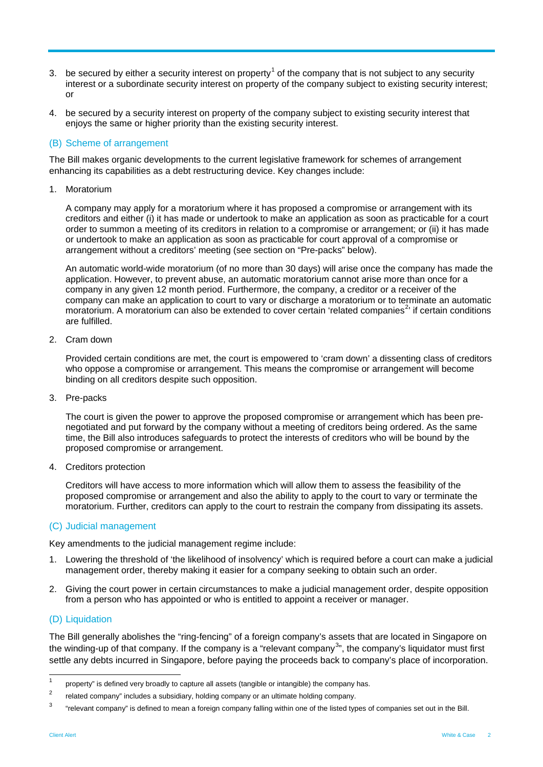- 3. be secured by either a security interest on property<sup>[1](#page-1-0)</sup> of the company that is not subject to any security interest or a subordinate security interest on property of the company subject to existing security interest; or
- 4. be secured by a security interest on property of the company subject to existing security interest that enjoys the same or higher priority than the existing security interest.

#### (B) Scheme of arrangement

The Bill makes organic developments to the current legislative framework for schemes of arrangement enhancing its capabilities as a debt restructuring device. Key changes include:

1. Moratorium

A company may apply for a moratorium where it has proposed a compromise or arrangement with its creditors and either (i) it has made or undertook to make an application as soon as practicable for a court order to summon a meeting of its creditors in relation to a compromise or arrangement; or (ii) it has made or undertook to make an application as soon as practicable for court approval of a compromise or arrangement without a creditors' meeting (see section on "Pre-packs" below).

An automatic world-wide moratorium (of no more than 30 days) will arise once the company has made the application. However, to prevent abuse, an automatic moratorium cannot arise more than once for a company in any given 12 month period. Furthermore, the company, a creditor or a receiver of the company can make an application to court to vary or discharge a moratorium or to terminate an automatic moratorium. A moratorium can also be extended to cover certain 'related companies<sup>[2](#page-1-1)</sup>' if certain conditions are fulfilled.

2. Cram down

Provided certain conditions are met, the court is empowered to 'cram down' a dissenting class of creditors who oppose a compromise or arrangement. This means the compromise or arrangement will become binding on all creditors despite such opposition.

3. Pre-packs

The court is given the power to approve the proposed compromise or arrangement which has been prenegotiated and put forward by the company without a meeting of creditors being ordered. As the same time, the Bill also introduces safeguards to protect the interests of creditors who will be bound by the proposed compromise or arrangement.

4. Creditors protection

Creditors will have access to more information which will allow them to assess the feasibility of the proposed compromise or arrangement and also the ability to apply to the court to vary or terminate the moratorium. Further, creditors can apply to the court to restrain the company from dissipating its assets.

#### (C) Judicial management

Key amendments to the judicial management regime include:

- 1. Lowering the threshold of 'the likelihood of insolvency' which is required before a court can make a judicial management order, thereby making it easier for a company seeking to obtain such an order.
- 2. Giving the court power in certain circumstances to make a judicial management order, despite opposition from a person who has appointed or who is entitled to appoint a receiver or manager.

#### (D) Liquidation

The Bill generally abolishes the "ring-fencing" of a foreign company's assets that are located in Singapore on the winding-up of that company. If the company is a "relevant company<sup>[3](#page-1-2)</sup>", the company's liquidator must first settle any debts incurred in Singapore, before paying the proceeds back to company's place of incorporation.

<span id="page-1-0"></span><sup>1</sup> property" is defined very broadly to capture all assets (tangible or intangible) the company has.<br> $\frac{2}{3}$  related company" includes a subsidiary halding company as a ultimate halding company.

<span id="page-1-1"></span><sup>2</sup> related company" includes a subsidiary, holding company or an ultimate holding company.

<span id="page-1-2"></span> $3$  "relevant company" is defined to mean a foreign company falling within one of the listed types of companies set out in the Bill.